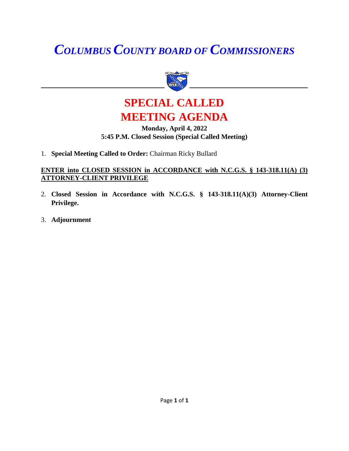# *COLUMBUS COUNTY BOARD OF COMMISSIONERS*



### **SPECIAL CALLED MEETING AGENDA**

#### **Monday, April 4, 2022 5:45 P.M. Closed Session (Special Called Meeting)**

1. **Special Meeting Called to Order:** Chairman Ricky Bullard

#### **ENTER into CLOSED SESSION in ACCORDANCE with N.C.G.S. § 143-318.11(A) (3) ATTORNEY-CLIENT PRIVILEGE**

- 2. **Closed Session in Accordance with N.C.G.S. § 143-318.11(A)(3) Attorney-Client Privilege.**
- 3. **Adjournment**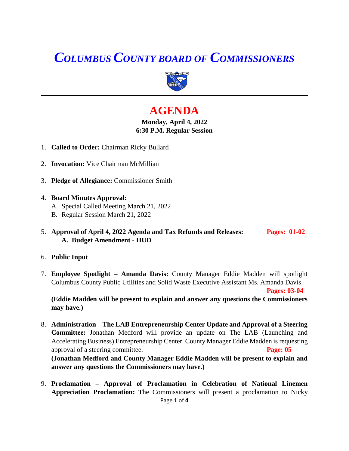## *COLUMBUS COUNTY BOARD OF COMMISSIONERS*



### **AGENDA**

#### **Monday, April 4, 2022 6:30 P.M. Regular Session**

- 1. **Called to Order:** Chairman Ricky Bullard
- 2. **Invocation:** Vice Chairman McMillian
- 3. **Pledge of Allegiance:** Commissioner Smith
- 4. **Board Minutes Approval:**
	- A. Special Called Meeting March 21, 2022
	- B. Regular Session March 21, 2022
- 5. **Approval of April 4, 2022 Agenda and Tax Refunds and Releases: Pages: 01-02 A. Budget Amendment - HUD**
- 6. **Public Input**
- 7. **Employee Spotlight – Amanda Davis:** County Manager Eddie Madden will spotlight Columbus County Public Utilities and Solid Waste Executive Assistant Ms. Amanda Davis.

**Pages: 03-04**

**(Eddie Madden will be present to explain and answer any questions the Commissioners may have.)**

- 8. **Administration – The LAB Entrepreneurship Center Update and Approval of a Steering Committee:** Jonathan Medford will provide an update on The LAB (Launching and Accelerating Business) Entrepreneurship Center. County Manager Eddie Madden is requesting approval of a steering committee. **Page: 05 (Jonathan Medford and County Manager Eddie Madden will be present to explain and answer any questions the Commissioners may have.)**
- Page **1** of **4** 9. **Proclamation – Approval of Proclamation in Celebration of National Linemen Appreciation Proclamation:** The Commissioners will present a proclamation to Nicky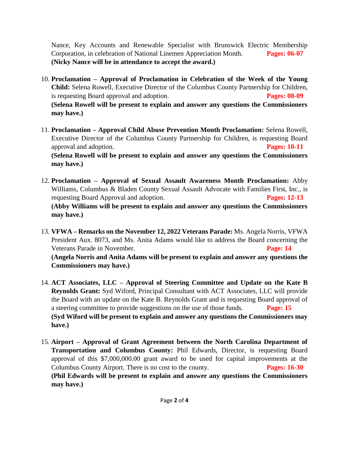Nance, Key Accounts and Renewable Specialist with Brunswick Electric Membership Corporation, in celebration of National Linemen Appreciation Month. **Pages: 06-07 (Nicky Nance will be in attendance to accept the award.)**

- 10. **Proclamation – Approval of Proclamation in Celebration of the Week of the Young Child:** Selena Rowell, Executive Director of the Columbus County Partnership for Children, is requesting Board approval and adoption. **Pages: 08-09 (Selena Rowell will be present to explain and answer any questions the Commissioners may have.)**
- 11. **Proclamation – Approval Child Abuse Prevention Month Proclamation:** Selena Rowell, Executive Director of the Columbus County Partnership for Children, is requesting Board approval and adoption. **Pages: 10-11 (Selena Rowell will be present to explain and answer any questions the Commissioners may have.)**
- 12. **Proclamation – Approval of Sexual Assault Awareness Month Proclamation:** Abby Williams, Columbus & Bladen County Sexual Assault Advocate with Families First, Inc., is requesting Board Approval and adoption. **Pages: 12-13 (Abby Williams will be present to explain and answer any questions the Commissioners may have.)**
- 13. **VFWA – Remarks on the November 12, 2022 Veterans Parade:** Ms. Angela Norris, VFWA President Aux. 8073, and Ms. Anita Adams would like to address the Board concerning the Veterans Parade in November. **Page: 14 (Angela Norris and Anita Adams will be present to explain and answer any questions the Commissioners may have.)**
- 14. **ACT Associates, LLC – Approval of Steering Committee and Update on the Kate B Reynolds Grant:** Syd Wiford, Principal Consultant with ACT Associates, LLC will provide the Board with an update on the Kate B. Reynolds Grant and is requesting Board approval of a steering committee to provide suggestions on the use of those funds. **Page: 15 (Syd Wiford will be present to explain and answer any questions the Commissioners may have.)**
- 15. **Airport – Approval of Grant Agreement between the North Carolina Department of Transportation and Columbus County:** Phil Edwards, Director, is requesting Board approval of this \$7,000,000.00 grant award to be used for capital improvements at the Columbus County Airport. There is no cost to the county. **Pages: 16-30 (Phil Edwards will be present to explain and answer any questions the Commissioners may have.)**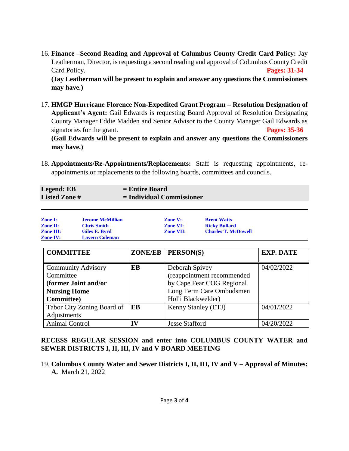16. **Finance –Second Reading and Approval of Columbus County Credit Card Policy:** Jay Leatherman, Director, is requesting a second reading and approval of Columbus County Credit Card Policy. **Pages: 31-34 (Jay Leatherman will be present to explain and answer any questions the Commissioners** 

**may have.)**

**may have.)**

17. **HMGP Hurricane Florence Non-Expedited Grant Program – Resolution Designation of Applicant's Agent:** Gail Edwards is requesting Board Approval of Resolution Designating County Manager Eddie Madden and Senior Advisor to the County Manager Gail Edwards as signatories for the grant. **Pages: 35-36 (Gail Edwards will be present to explain and answer any questions the Commissioners** 

18. **Appointments/Re-Appointments/Replacements:** Staff is requesting appointments, reappointments or replacements to the following boards, committees and councils.

| <b>Legend: EB</b>   | $=$ Entire Board            |
|---------------------|-----------------------------|
| <b>Listed Zone#</b> | $=$ Individual Commissioner |

| <b>Zone I:</b>   | <b>Jerome McMillian</b> | <b>Zone V:</b>   | <b>Brent Watts</b>         |
|------------------|-------------------------|------------------|----------------------------|
| <b>Zone II:</b>  | <b>Chris Smith</b>      | <b>Zone VI:</b>  | <b>Ricky Bullard</b>       |
| <b>Zone III:</b> | Giles E. Byrd           | <b>Zone VII:</b> | <b>Charles T. McDowell</b> |
| <b>Zone IV:</b>  | <b>Lavern Coleman</b>   |                  |                            |

| <b>COMMITTEE</b>                                                                                            | <b>ZONE/EB</b> | PERSON(S)                                                                                                                   | <b>EXP. DATE</b> |
|-------------------------------------------------------------------------------------------------------------|----------------|-----------------------------------------------------------------------------------------------------------------------------|------------------|
| <b>Community Advisory</b><br>Committee<br>(former Joint and/or<br><b>Nursing Home</b><br><b>Committee</b> ) | <b>EB</b>      | Deborah Spivey<br>(reappointment recommended<br>by Cape Fear COG Regional<br>Long Term Care Ombudsmen<br>Holli Blackwelder) | 04/02/2022       |
| Tabor City Zoning Board of<br>Adjustments                                                                   | EB             | Kenny Stanley (ETJ)                                                                                                         | 04/01/2022       |
| <b>Animal Control</b>                                                                                       | TV             | <b>Jesse Stafford</b>                                                                                                       | 04/20/2022       |

#### **RECESS REGULAR SESSION and enter into COLUMBUS COUNTY WATER and SEWER DISTRICTS I, II, III, IV and V BOARD MEETING**

19. **Columbus County Water and Sewer Districts I, II, III, IV and V – Approval of Minutes: A.** March 21, 2022